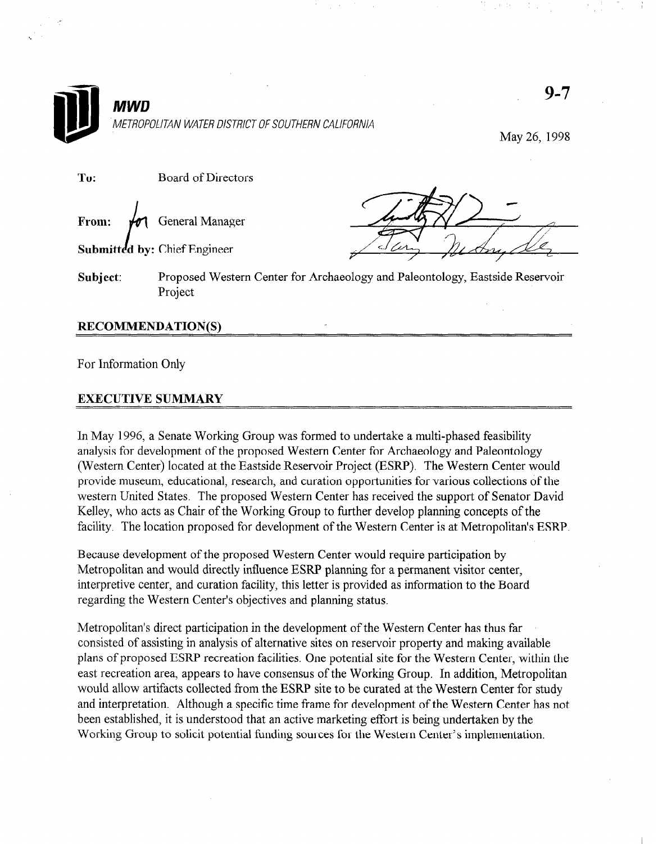

For Information Only

## EXECUTIVE SUMMARY

In May 1996, a Senate Working Group was formed to undertake a multi-phased feasibility analysis for development of the proposed Western Center for Archaeology and Paleontology (Western Center) located at the Eastside Reservoir Project (ESRP). The Western Center would provide museum, educational, research, and curation opportunities for various collections of the western United States. The proposed Western Center has received the support of Senator David Kelley, who acts as Chair of the Working Group to further develop planning concepts of the facility. The location proposed for development of the Western Center is at Metropolitan's ESRP.

Because development of the proposed Western Center would require participation by Metropolitan and would directly influence ESRP planning for a permanent visitor center, interpretive center, and curation facility, this letter is provided as information to the Board regarding the Western Center's objectives and planning status.

Metropolitan's direct participation in the development of the Western Center has thus far consisted of assisting in analysis of alternative sites on reservoir property and making available plans of proposed ESRP recreation facilities. One potential site for the Western Center, within the east recreation area, appears to have consensus of the Working Group. In addition, Metropolitan would allow artifacts collected from the ESRP site to be curated at the Western Center for study and interpretation. Although a specific time frame for development of the Western Center has not been established, it is understood that an active marketing effort is being undertaken by the Working Group to solicit potential funding sources for the Western Center's implementation.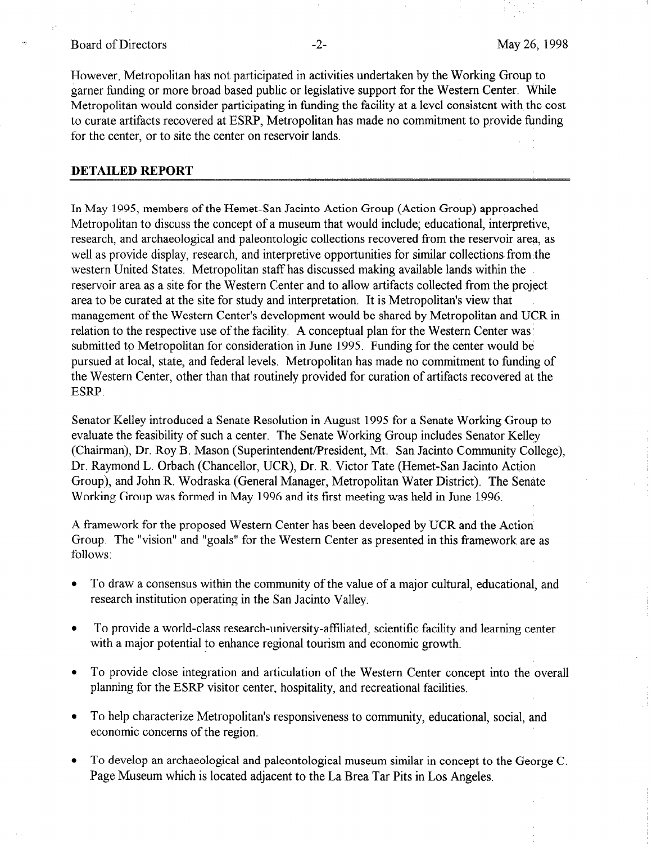## Board of Directors **-2-** All the May 26, 1998

However, Metropolitan has not participated in activities undertaken by the Working Group to garner funding or more broad based public or legislative support for the Western Center. While Metropolitan would consider participating in funding the facility at a level consistent with the cost to curate artifacts recovered at ESRP, Metropolitan has made no commitment to provide funding for the center, or to site the center on reservoir lands.

## DETAILED REPORT

In May 1995, members of the Hemet-San Jacinto Action Group (Action Group) approached Metropolitan to discuss the concept of a museum that would include; educational, interpretive, research, and archaeological and paleontologic collections recovered from the reservoir area, as well as provide display, research, and interpretive opportunities for similar collections from the western United States. Metropolitan staff has discussed making available lands within the reservoir area as a site for the Western Center and to allow artifacts collected from the project area to be curated at the site for study and interpretation. It is Metropolitan's view that management of the Western Center's development would be shared by Metropolitan and UCR in relation to the respective use of the facility. A conceptual plan for the Western Center was submitted to Metropolitan for consideration in June 1995. Funding for the center would be pursued at local, state, and federal levels. Metropolitan has made no commitment to funding of the Western Center, other than that routinely provided for curation of artifacts recovered at the ESRP.

Senator Kelley introduced a Senate Resolution in August 1995 for a Senate Working Group to evaluate the feasibility of such a center. The Senate Working Group includes Senator Kelley (Chairman), Dr. Roy B. Mason (Superintendent/President, Mt. San Jacinto Community College), Dr. Raymond L. Orbach (Chancellor, UCR), Dr. R. Victor Tate (Hemet-San Jacinto Action Group), and John R. Wodraska (General Manager, Metropolitan Water District). The Senate Working Group was formed in May 1996 and its first meeting was held in June 1996.

A framework for the proposed Western Center has been developed by UCR and the Action Group. The "vision" and "goals" for the Western Center as presented in this framework are as follows:

- To draw a consensus within the community of the value of a major cultural, educational, and research institution operating in the San Jacinto Valley.
- To provide a world-class research-university-affiliated, scientific facility and learning center with a major potential to enhance regional tourism and economic growth.
- To provide close integration and articulation of the Western Center concept into the overall planning for the ESRP visitor center, hospitality, and recreational facilities.
- To help characterize Metropolitan's responsiveness to community, educational, social, and economic concerns of the region.
- To develop an archaeological and paleontological museum similar in concept to the George C. Page Museum which is located adjacent to the La Brea Tar Pits in Los Angeles.